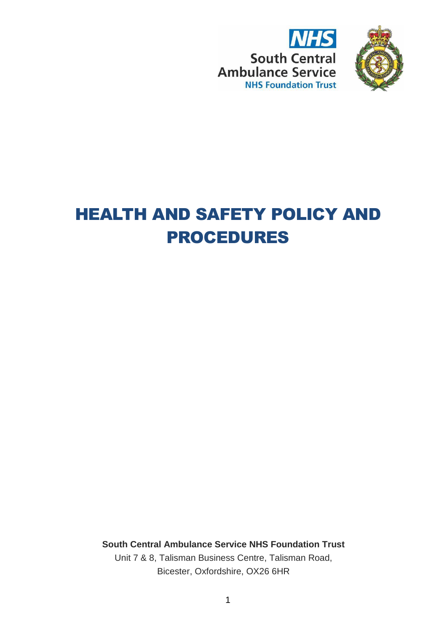



# HEALTH AND SAFETY POLICY AND PROCEDURES

**South Central Ambulance Service NHS Foundation Trust** Unit 7 & 8, Talisman Business Centre, Talisman Road, Bicester, Oxfordshire, OX26 6HR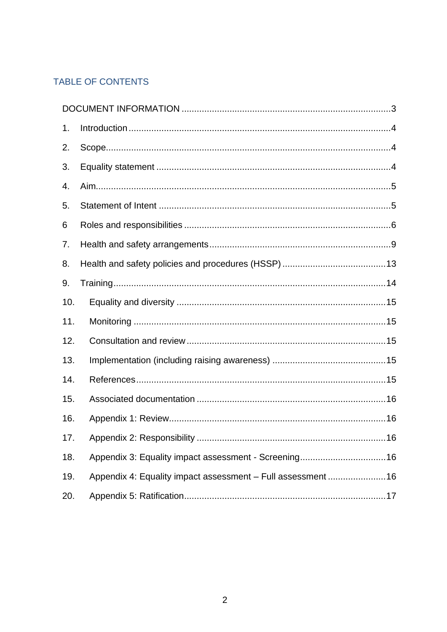# TABLE OF CONTENTS

| 1.  |                                                             |
|-----|-------------------------------------------------------------|
| 2.  |                                                             |
| 3.  |                                                             |
| 4.  |                                                             |
| 5.  |                                                             |
| 6   |                                                             |
| 7.  |                                                             |
| 8.  |                                                             |
| 9.  |                                                             |
| 10. |                                                             |
| 11. |                                                             |
| 12. |                                                             |
| 13. |                                                             |
| 14. |                                                             |
| 15. |                                                             |
| 16. |                                                             |
| 17. |                                                             |
| 18. |                                                             |
| 19. | Appendix 4: Equality impact assessment - Full assessment 16 |
| 20. |                                                             |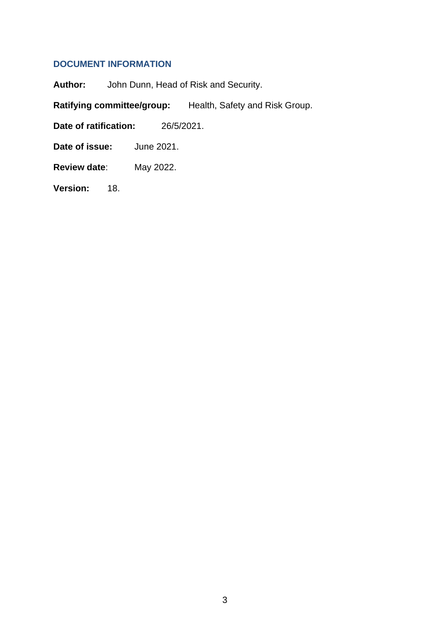# <span id="page-2-0"></span>**DOCUMENT INFORMATION**

**Author:** John Dunn, Head of Risk and Security.

**Ratifying committee/group:** Health, Safety and Risk Group.

**Date of ratification:** 26/5/2021.

**Date of issue:** June 2021.

**Review date**: May 2022.

**Version:** 18.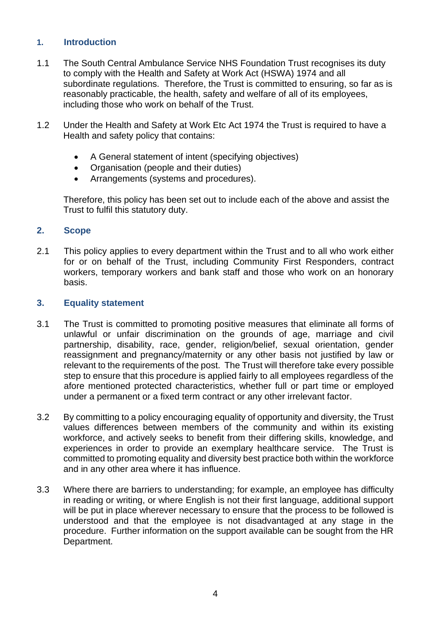# <span id="page-3-0"></span>**1. Introduction**

- 1.1 The South Central Ambulance Service NHS Foundation Trust recognises its duty to comply with the Health and Safety at Work Act (HSWA) 1974 and all subordinate regulations. Therefore, the Trust is committed to ensuring, so far as is reasonably practicable, the health, safety and welfare of all of its employees, including those who work on behalf of the Trust.
- 1.2 Under the Health and Safety at Work Etc Act 1974 the Trust is required to have a Health and safety policy that contains:
	- A General statement of intent (specifying objectives)
	- Organisation (people and their duties)
	- Arrangements (systems and procedures).

Therefore, this policy has been set out to include each of the above and assist the Trust to fulfil this statutory duty.

#### <span id="page-3-1"></span>**2. Scope**

2.1 This policy applies to every department within the Trust and to all who work either for or on behalf of the Trust, including Community First Responders, contract workers, temporary workers and bank staff and those who work on an honorary basis.

#### <span id="page-3-2"></span>**3. Equality statement**

- 3.1 The Trust is committed to promoting positive measures that eliminate all forms of unlawful or unfair discrimination on the grounds of age, marriage and civil partnership, disability, race, gender, religion/belief, sexual orientation, gender reassignment and pregnancy/maternity or any other basis not justified by law or relevant to the requirements of the post. The Trust will therefore take every possible step to ensure that this procedure is applied fairly to all employees regardless of the afore mentioned protected characteristics, whether full or part time or employed under a permanent or a fixed term contract or any other irrelevant factor.
- 3.2 By committing to a policy encouraging equality of opportunity and diversity, the Trust values differences between members of the community and within its existing workforce, and actively seeks to benefit from their differing skills, knowledge, and experiences in order to provide an exemplary healthcare service. The Trust is committed to promoting equality and diversity best practice both within the workforce and in any other area where it has influence.
- 3.3 Where there are barriers to understanding; for example, an employee has difficulty in reading or writing, or where English is not their first language, additional support will be put in place wherever necessary to ensure that the process to be followed is understood and that the employee is not disadvantaged at any stage in the procedure. Further information on the support available can be sought from the HR Department.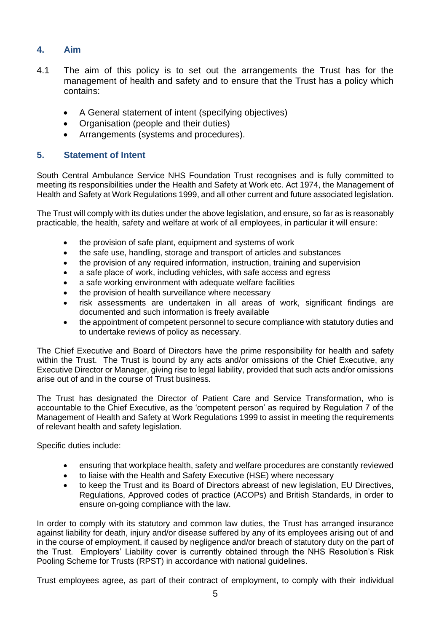# <span id="page-4-0"></span>**4. Aim**

- 4.1 The aim of this policy is to set out the arrangements the Trust has for the management of health and safety and to ensure that the Trust has a policy which contains:
	- A General statement of intent (specifying objectives)
	- Organisation (people and their duties)
	- Arrangements (systems and procedures).

### <span id="page-4-1"></span>**5. Statement of Intent**

South Central Ambulance Service NHS Foundation Trust recognises and is fully committed to meeting its responsibilities under the Health and Safety at Work etc. Act 1974, the Management of Health and Safety at Work Regulations 1999, and all other current and future associated legislation.

The Trust will comply with its duties under the above legislation, and ensure, so far as is reasonably practicable, the health, safety and welfare at work of all employees, in particular it will ensure:

- the provision of safe plant, equipment and systems of work
- the safe use, handling, storage and transport of articles and substances
- the provision of any required information, instruction, training and supervision
- a safe place of work, including vehicles, with safe access and egress
- a safe working environment with adequate welfare facilities
- the provision of health surveillance where necessary
- risk assessments are undertaken in all areas of work, significant findings are documented and such information is freely available
- the appointment of competent personnel to secure compliance with statutory duties and to undertake reviews of policy as necessary.

The Chief Executive and Board of Directors have the prime responsibility for health and safety within the Trust. The Trust is bound by any acts and/or omissions of the Chief Executive, any Executive Director or Manager, giving rise to legal liability, provided that such acts and/or omissions arise out of and in the course of Trust business.

The Trust has designated the Director of Patient Care and Service Transformation, who is accountable to the Chief Executive, as the 'competent person' as required by Regulation 7 of the Management of Health and Safety at Work Regulations 1999 to assist in meeting the requirements of relevant health and safety legislation.

Specific duties include:

- ensuring that workplace health, safety and welfare procedures are constantly reviewed
- to liaise with the Health and Safety Executive (HSE) where necessary
- to keep the Trust and its Board of Directors abreast of new legislation, EU Directives, Regulations, Approved codes of practice (ACOPs) and British Standards, in order to ensure on-going compliance with the law.

In order to comply with its statutory and common law duties, the Trust has arranged insurance against liability for death, injury and/or disease suffered by any of its employees arising out of and in the course of employment, if caused by negligence and/or breach of statutory duty on the part of the Trust. Employers' Liability cover is currently obtained through the NHS Resolution's Risk Pooling Scheme for Trusts (RPST) in accordance with national guidelines.

Trust employees agree, as part of their contract of employment, to comply with their individual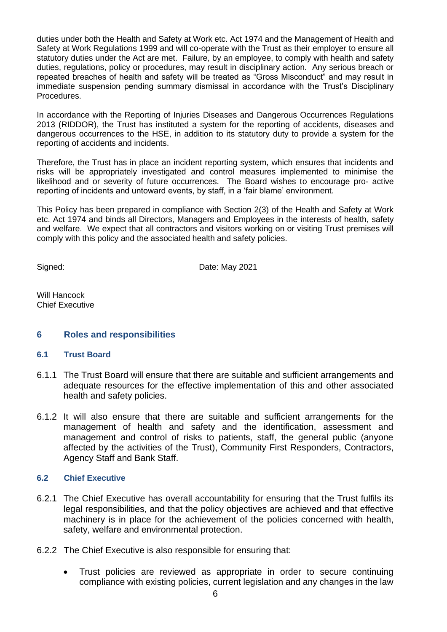duties under both the Health and Safety at Work etc. Act 1974 and the Management of Health and Safety at Work Regulations 1999 and will co-operate with the Trust as their employer to ensure all statutory duties under the Act are met. Failure, by an employee, to comply with health and safety duties, regulations, policy or procedures, may result in disciplinary action. Any serious breach or repeated breaches of health and safety will be treated as "Gross Misconduct" and may result in immediate suspension pending summary dismissal in accordance with the Trust's Disciplinary Procedures.

In accordance with the Reporting of Injuries Diseases and Dangerous Occurrences Regulations 2013 (RIDDOR), the Trust has instituted a system for the reporting of accidents, diseases and dangerous occurrences to the HSE, in addition to its statutory duty to provide a system for the reporting of accidents and incidents.

Therefore, the Trust has in place an incident reporting system, which ensures that incidents and risks will be appropriately investigated and control measures implemented to minimise the likelihood and or severity of future occurrences. The Board wishes to encourage pro- active reporting of incidents and untoward events, by staff, in a 'fair blame' environment.

This Policy has been prepared in compliance with Section 2(3) of the Health and Safety at Work etc. Act 1974 and binds all Directors, Managers and Employees in the interests of health, safety and welfare. We expect that all contractors and visitors working on or visiting Trust premises will comply with this policy and the associated health and safety policies.

Signed: Date: May 2021

Will Hancock Chief Executive

#### <span id="page-5-0"></span>**6 Roles and responsibilities**

#### **6.1 Trust Board**

- 6.1.1 The Trust Board will ensure that there are suitable and sufficient arrangements and adequate resources for the effective implementation of this and other associated health and safety policies.
- 6.1.2 It will also ensure that there are suitable and sufficient arrangements for the management of health and safety and the identification, assessment and management and control of risks to patients, staff, the general public (anyone affected by the activities of the Trust), Community First Responders, Contractors, Agency Staff and Bank Staff.

#### **6.2 Chief Executive**

- 6.2.1 The Chief Executive has overall accountability for ensuring that the Trust fulfils its legal responsibilities, and that the policy objectives are achieved and that effective machinery is in place for the achievement of the policies concerned with health, safety, welfare and environmental protection.
- 6.2.2 The Chief Executive is also responsible for ensuring that:
	- Trust policies are reviewed as appropriate in order to secure continuing compliance with existing policies, current legislation and any changes in the law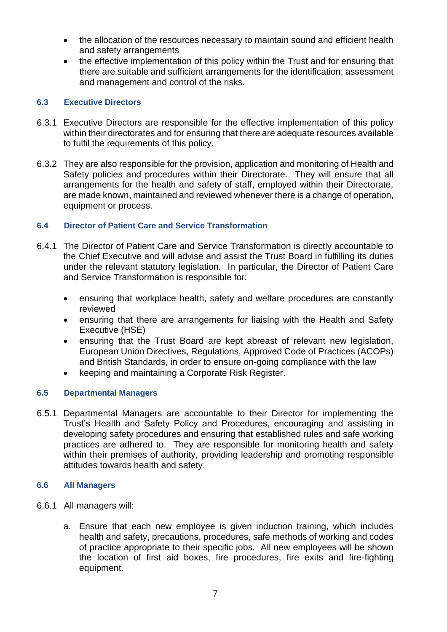- the allocation of the resources necessary to maintain sound and efficient health and safety arrangements
- the effective implementation of this policy within the Trust and for ensuring that there are suitable and sufficient arrangements for the identification, assessment and management and control of the risks.

# **6.3 Executive Directors**

- 6.3.1 Executive Directors are responsible for the effective implementation of this policy within their directorates and for ensuring that there are adequate resources available to fulfil the requirements of this policy.
- 6.3.2 They are also responsible for the provision, application and monitoring of Health and Safety policies and procedures within their Directorate. They will ensure that all arrangements for the health and safety of staff, employed within their Directorate, are made known, maintained and reviewed whenever there is a change of operation, equipment or process.

# **6.4 Director of Patient Care and Service Transformation**

- 6.4.1 The Director of Patient Care and Service Transformation is directly accountable to the Chief Executive and will advise and assist the Trust Board in fulfilling its duties under the relevant statutory legislation. In particular, the Director of Patient Care and Service Transformation is responsible for:
	- ensuring that workplace health, safety and welfare procedures are constantly reviewed
	- ensuring that there are arrangements for liaising with the Health and Safety Executive (HSE)
	- ensuring that the Trust Board are kept abreast of relevant new legislation, European Union Directives, Regulations, Approved Code of Practices (ACOPs) and British Standards, in order to ensure on-going compliance with the law
	- keeping and maintaining a Corporate Risk Register.

#### **6.5 Departmental Managers**

6.5.1 Departmental Managers are accountable to their Director for implementing the Trust's Health and Safety Policy and Procedures, encouraging and assisting in developing safety procedures and ensuring that established rules and safe working practices are adhered to. They are responsible for monitoring health and safety within their premises of authority, providing leadership and promoting responsible attitudes towards health and safety.

#### **6.6 All Managers**

- 6.6.1 All managers will:
	- a. Ensure that each new employee is given induction training, which includes health and safety, precautions, procedures, safe methods of working and codes of practice appropriate to their specific jobs. All new employees will be shown the location of first aid boxes, fire procedures, fire exits and fire-fighting equipment.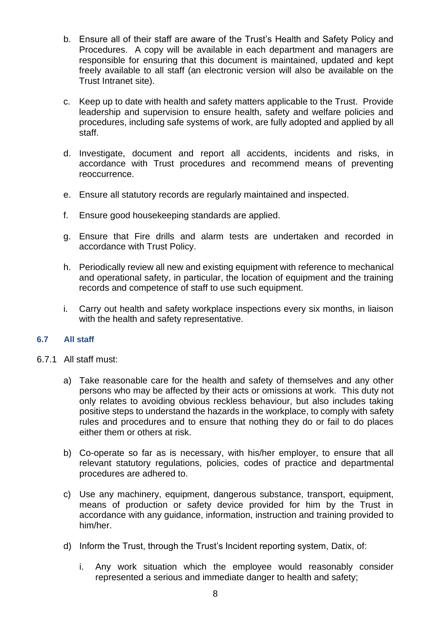- b. Ensure all of their staff are aware of the Trust's Health and Safety Policy and Procedures. A copy will be available in each department and managers are responsible for ensuring that this document is maintained, updated and kept freely available to all staff (an electronic version will also be available on the Trust Intranet site).
- c. Keep up to date with health and safety matters applicable to the Trust. Provide leadership and supervision to ensure health, safety and welfare policies and procedures, including safe systems of work, are fully adopted and applied by all staff.
- d. Investigate, document and report all accidents, incidents and risks, in accordance with Trust procedures and recommend means of preventing reoccurrence.
- e. Ensure all statutory records are regularly maintained and inspected.
- f. Ensure good housekeeping standards are applied.
- g. Ensure that Fire drills and alarm tests are undertaken and recorded in accordance with Trust Policy.
- h. Periodically review all new and existing equipment with reference to mechanical and operational safety, in particular, the location of equipment and the training records and competence of staff to use such equipment.
- i. Carry out health and safety workplace inspections every six months, in liaison with the health and safety representative.

#### **6.7 All staff**

- 6.7.1 All staff must:
	- a) Take reasonable care for the health and safety of themselves and any other persons who may be affected by their acts or omissions at work. This duty not only relates to avoiding obvious reckless behaviour, but also includes taking positive steps to understand the hazards in the workplace, to comply with safety rules and procedures and to ensure that nothing they do or fail to do places either them or others at risk.
	- b) Co-operate so far as is necessary, with his/her employer, to ensure that all relevant statutory regulations, policies, codes of practice and departmental procedures are adhered to.
	- c) Use any machinery, equipment, dangerous substance, transport, equipment, means of production or safety device provided for him by the Trust in accordance with any guidance, information, instruction and training provided to him/her.
	- d) Inform the Trust, through the Trust's Incident reporting system, Datix, of:
		- i. Any work situation which the employee would reasonably consider represented a serious and immediate danger to health and safety;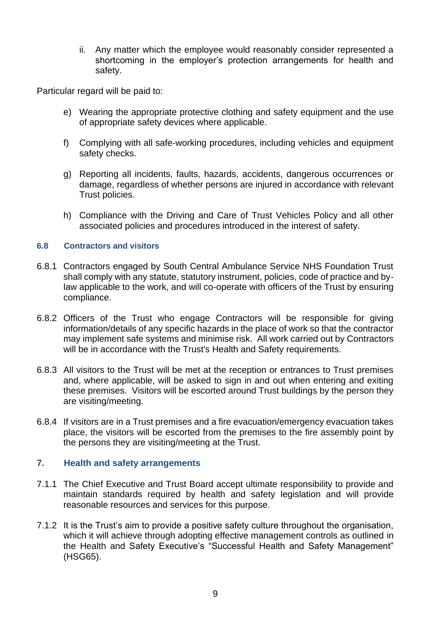ii. Any matter which the employee would reasonably consider represented a shortcoming in the employer's protection arrangements for health and safety.

Particular regard will be paid to:

- e) Wearing the appropriate protective clothing and safety equipment and the use of appropriate safety devices where applicable.
- f) Complying with all safe-working procedures, including vehicles and equipment safety checks.
- g) Reporting all incidents, faults, hazards, accidents, dangerous occurrences or damage, regardless of whether persons are injured in accordance with relevant Trust policies.
- h) Compliance with the Driving and Care of Trust Vehicles Policy and all other associated policies and procedures introduced in the interest of safety.

#### **6.8 Contractors and visitors**

- 6.8.1 Contractors engaged by South Central Ambulance Service NHS Foundation Trust shall comply with any statute, statutory instrument, policies, code of practice and bylaw applicable to the work, and will co-operate with officers of the Trust by ensuring compliance.
- 6.8.2 Officers of the Trust who engage Contractors will be responsible for giving information/details of any specific hazards in the place of work so that the contractor may implement safe systems and minimise risk. All work carried out by Contractors will be in accordance with the Trust's Health and Safety requirements.
- 6.8.3 All visitors to the Trust will be met at the reception or entrances to Trust premises and, where applicable, will be asked to sign in and out when entering and exiting these premises. Visitors will be escorted around Trust buildings by the person they are visiting/meeting.
- 6.8.4 If visitors are in a Trust premises and a fire evacuation/emergency evacuation takes place, the visitors will be escorted from the premises to the fire assembly point by the persons they are visiting/meeting at the Trust.

#### <span id="page-8-0"></span>**7. Health and safety arrangements**

- 7.1.1 The Chief Executive and Trust Board accept ultimate responsibility to provide and maintain standards required by health and safety legislation and will provide reasonable resources and services for this purpose.
- 7.1.2 It is the Trust's aim to provide a positive safety culture throughout the organisation, which it will achieve through adopting effective management controls as outlined in the Health and Safety Executive's "Successful Health and Safety Management" (HSG65).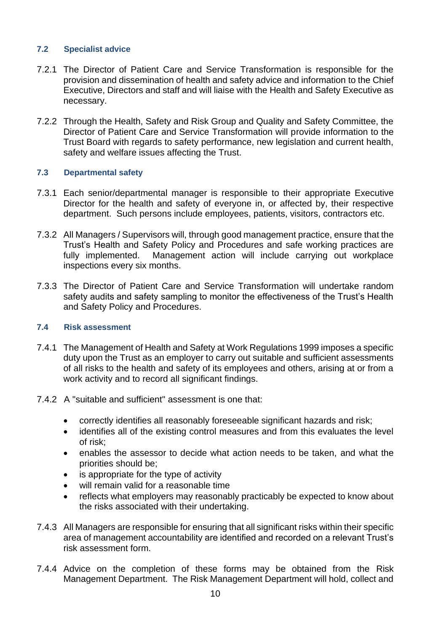#### **7.2 Specialist advice**

- 7.2.1 The Director of Patient Care and Service Transformation is responsible for the provision and dissemination of health and safety advice and information to the Chief Executive, Directors and staff and will liaise with the Health and Safety Executive as necessary.
- 7.2.2 Through the Health, Safety and Risk Group and Quality and Safety Committee, the Director of Patient Care and Service Transformation will provide information to the Trust Board with regards to safety performance, new legislation and current health, safety and welfare issues affecting the Trust.

#### **7.3 Departmental safety**

- 7.3.1 Each senior/departmental manager is responsible to their appropriate Executive Director for the health and safety of everyone in, or affected by, their respective department. Such persons include employees, patients, visitors, contractors etc.
- 7.3.2 All Managers / Supervisors will, through good management practice, ensure that the Trust's Health and Safety Policy and Procedures and safe working practices are fully implemented. Management action will include carrying out workplace inspections every six months.
- 7.3.3 The Director of Patient Care and Service Transformation will undertake random safety audits and safety sampling to monitor the effectiveness of the Trust's Health and Safety Policy and Procedures.

#### **7.4 Risk assessment**

- 7.4.1 The Management of Health and Safety at Work Regulations 1999 imposes a specific duty upon the Trust as an employer to carry out suitable and sufficient assessments of all risks to the health and safety of its employees and others, arising at or from a work activity and to record all significant findings.
- 7.4.2 A "suitable and sufficient" assessment is one that:
	- correctly identifies all reasonably foreseeable significant hazards and risk;
	- identifies all of the existing control measures and from this evaluates the level of risk;
	- enables the assessor to decide what action needs to be taken, and what the priorities should be;
	- is appropriate for the type of activity
	- will remain valid for a reasonable time
	- reflects what employers may reasonably practicably be expected to know about the risks associated with their undertaking.
- 7.4.3 All Managers are responsible for ensuring that all significant risks within their specific area of management accountability are identified and recorded on a relevant Trust's risk assessment form.
- 7.4.4 Advice on the completion of these forms may be obtained from the Risk Management Department. The Risk Management Department will hold, collect and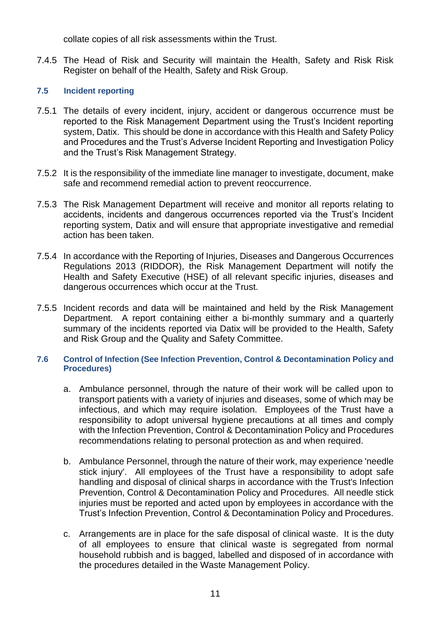collate copies of all risk assessments within the Trust.

7.4.5 The Head of Risk and Security will maintain the Health, Safety and Risk Risk Register on behalf of the Health, Safety and Risk Group.

# **7.5 Incident reporting**

- 7.5.1 The details of every incident, injury, accident or dangerous occurrence must be reported to the Risk Management Department using the Trust's Incident reporting system, Datix. This should be done in accordance with this Health and Safety Policy and Procedures and the Trust's Adverse Incident Reporting and Investigation Policy and the Trust's Risk Management Strategy.
- 7.5.2 It is the responsibility of the immediate line manager to investigate, document, make safe and recommend remedial action to prevent reoccurrence.
- 7.5.3 The Risk Management Department will receive and monitor all reports relating to accidents, incidents and dangerous occurrences reported via the Trust's Incident reporting system, Datix and will ensure that appropriate investigative and remedial action has been taken.
- 7.5.4 In accordance with the Reporting of Injuries, Diseases and Dangerous Occurrences Regulations 2013 (RIDDOR), the Risk Management Department will notify the Health and Safety Executive (HSE) of all relevant specific injuries, diseases and dangerous occurrences which occur at the Trust.
- 7.5.5 Incident records and data will be maintained and held by the Risk Management Department. A report containing either a bi-monthly summary and a quarterly summary of the incidents reported via Datix will be provided to the Health, Safety and Risk Group and the Quality and Safety Committee.

#### **7.6 Control of Infection (See Infection Prevention, Control & Decontamination Policy and Procedures)**

- a. Ambulance personnel, through the nature of their work will be called upon to transport patients with a variety of injuries and diseases, some of which may be infectious, and which may require isolation. Employees of the Trust have a responsibility to adopt universal hygiene precautions at all times and comply with the Infection Prevention, Control & Decontamination Policy and Procedures recommendations relating to personal protection as and when required.
- b. Ambulance Personnel, through the nature of their work, may experience 'needle stick injury'. All employees of the Trust have a responsibility to adopt safe handling and disposal of clinical sharps in accordance with the Trust's Infection Prevention, Control & Decontamination Policy and Procedures. All needle stick injuries must be reported and acted upon by employees in accordance with the Trust's Infection Prevention, Control & Decontamination Policy and Procedures.
- c. Arrangements are in place for the safe disposal of clinical waste. It is the duty of all employees to ensure that clinical waste is segregated from normal household rubbish and is bagged, labelled and disposed of in accordance with the procedures detailed in the Waste Management Policy.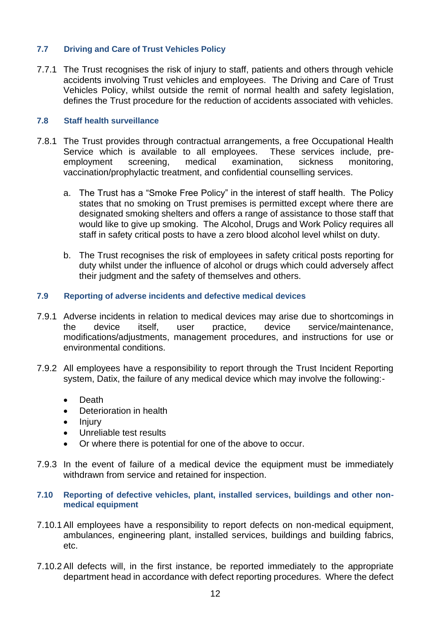#### **7.7 Driving and Care of Trust Vehicles Policy**

7.7.1 The Trust recognises the risk of injury to staff, patients and others through vehicle accidents involving Trust vehicles and employees. The Driving and Care of Trust Vehicles Policy, whilst outside the remit of normal health and safety legislation, defines the Trust procedure for the reduction of accidents associated with vehicles.

#### **7.8 Staff health surveillance**

- 7.8.1 The Trust provides through contractual arrangements, a free Occupational Health Service which is available to all employees. These services include, preemployment screening, medical examination, sickness monitoring, vaccination/prophylactic treatment, and confidential counselling services.
	- a. The Trust has a "Smoke Free Policy" in the interest of staff health. The Policy states that no smoking on Trust premises is permitted except where there are designated smoking shelters and offers a range of assistance to those staff that would like to give up smoking. The Alcohol, Drugs and Work Policy requires all staff in safety critical posts to have a zero blood alcohol level whilst on duty.
	- b. The Trust recognises the risk of employees in safety critical posts reporting for duty whilst under the influence of alcohol or drugs which could adversely affect their judgment and the safety of themselves and others.
- **7.9 Reporting of adverse incidents and defective medical devices**
- 7.9.1 Adverse incidents in relation to medical devices may arise due to shortcomings in the device itself, user practice, device service/maintenance, modifications/adjustments, management procedures, and instructions for use or environmental conditions.
- 7.9.2 All employees have a responsibility to report through the Trust Incident Reporting system, Datix, the failure of any medical device which may involve the following:-
	- Death
	- Deterioration in health
	- Injury
	- Unreliable test results
	- Or where there is potential for one of the above to occur.
- 7.9.3 In the event of failure of a medical device the equipment must be immediately withdrawn from service and retained for inspection.
- **7.10 Reporting of defective vehicles, plant, installed services, buildings and other nonmedical equipment**
- 7.10.1 All employees have a responsibility to report defects on non-medical equipment, ambulances, engineering plant, installed services, buildings and building fabrics, etc.
- 7.10.2 All defects will, in the first instance, be reported immediately to the appropriate department head in accordance with defect reporting procedures. Where the defect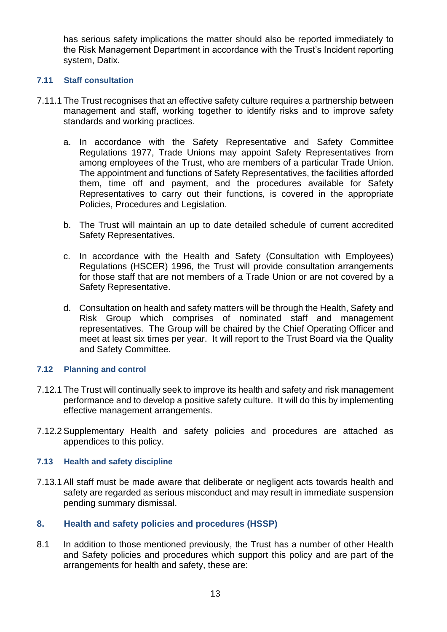has serious safety implications the matter should also be reported immediately to the Risk Management Department in accordance with the Trust's Incident reporting system, Datix.

#### **7.11 Staff consultation**

- 7.11.1 The Trust recognises that an effective safety culture requires a partnership between management and staff, working together to identify risks and to improve safety standards and working practices.
	- a. In accordance with the Safety Representative and Safety Committee Regulations 1977, Trade Unions may appoint Safety Representatives from among employees of the Trust, who are members of a particular Trade Union. The appointment and functions of Safety Representatives, the facilities afforded them, time off and payment, and the procedures available for Safety Representatives to carry out their functions, is covered in the appropriate Policies, Procedures and Legislation.
	- b. The Trust will maintain an up to date detailed schedule of current accredited Safety Representatives.
	- c. In accordance with the Health and Safety (Consultation with Employees) Regulations (HSCER) 1996, the Trust will provide consultation arrangements for those staff that are not members of a Trade Union or are not covered by a Safety Representative.
	- d. Consultation on health and safety matters will be through the Health, Safety and Risk Group which comprises of nominated staff and management representatives. The Group will be chaired by the Chief Operating Officer and meet at least six times per year. It will report to the Trust Board via the Quality and Safety Committee.

#### **7.12 Planning and control**

- 7.12.1 The Trust will continually seek to improve its health and safety and risk management performance and to develop a positive safety culture. It will do this by implementing effective management arrangements.
- 7.12.2 Supplementary Health and safety policies and procedures are attached as appendices to this policy.

#### **7.13 Health and safety discipline**

7.13.1 All staff must be made aware that deliberate or negligent acts towards health and safety are regarded as serious misconduct and may result in immediate suspension pending summary dismissal.

#### <span id="page-12-0"></span>**8. Health and safety policies and procedures (HSSP)**

8.1 In addition to those mentioned previously, the Trust has a number of other Health and Safety policies and procedures which support this policy and are part of the arrangements for health and safety, these are: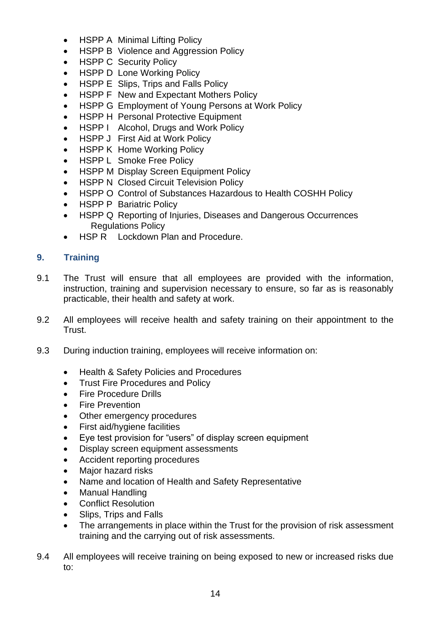- HSPP A Minimal Lifting Policy
- HSPP B Violence and Aggression Policy
- HSPP C Security Policy
- HSPP D Lone Working Policy
- HSPP E Slips, Trips and Falls Policy
- HSPP F New and Expectant Mothers Policy
- HSPP G Employment of Young Persons at Work Policy
- HSPP H Personal Protective Equipment
- HSPP I Alcohol, Drugs and Work Policy
- HSPP J First Aid at Work Policy
- HSPP K Home Working Policy
- HSPP L Smoke Free Policy
- HSPP M Display Screen Equipment Policy
- HSPP N Closed Circuit Television Policy
- HSPP O Control of Substances Hazardous to Health COSHH Policy
- **HSPP P Bariatric Policy**
- HSPP Q Reporting of Injuries, Diseases and Dangerous Occurrences Regulations Policy
- HSP R Lockdown Plan and Procedure.

# <span id="page-13-0"></span>**9. Training**

- 9.1 The Trust will ensure that all employees are provided with the information, instruction, training and supervision necessary to ensure, so far as is reasonably practicable, their health and safety at work.
- 9.2 All employees will receive health and safety training on their appointment to the Trust.
- 9.3 During induction training, employees will receive information on:
	- Health & Safety Policies and Procedures
	- Trust Fire Procedures and Policy
	- Fire Procedure Drills
	- Fire Prevention
	- Other emergency procedures
	- First aid/hygiene facilities
	- Eye test provision for "users" of display screen equipment
	- Display screen equipment assessments
	- Accident reporting procedures
	- Major hazard risks
	- Name and location of Health and Safety Representative
	- Manual Handling
	- Conflict Resolution
	- Slips, Trips and Falls
	- The arrangements in place within the Trust for the provision of risk assessment training and the carrying out of risk assessments.
- 9.4 All employees will receive training on being exposed to new or increased risks due to: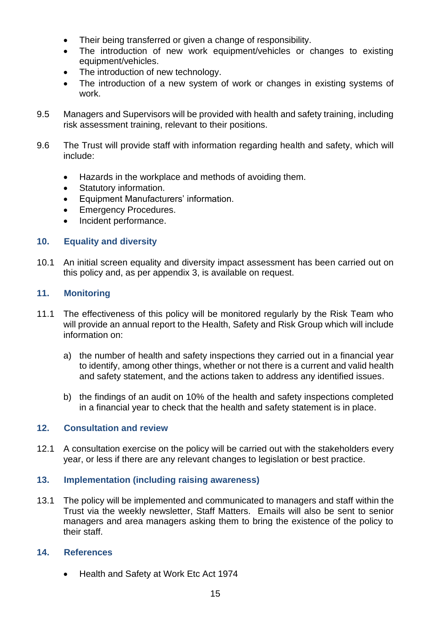- Their being transferred or given a change of responsibility.
- The introduction of new work equipment/vehicles or changes to existing equipment/vehicles.
- The introduction of new technology.
- The introduction of a new system of work or changes in existing systems of work.
- 9.5 Managers and Supervisors will be provided with health and safety training, including risk assessment training, relevant to their positions.
- 9.6 The Trust will provide staff with information regarding health and safety, which will include:
	- Hazards in the workplace and methods of avoiding them.
	- Statutory information.
	- Equipment Manufacturers' information.
	- **Emergency Procedures.**
	- Incident performance.

#### <span id="page-14-0"></span>**10. Equality and diversity**

10.1 An initial screen equality and diversity impact assessment has been carried out on this policy and, as per appendix 3, is available on request.

## <span id="page-14-1"></span>**11. Monitoring**

- 11.1 The effectiveness of this policy will be monitored regularly by the Risk Team who will provide an annual report to the Health, Safety and Risk Group which will include information on:
	- a) the number of health and safety inspections they carried out in a financial year to identify, among other things, whether or not there is a current and valid health and safety statement, and the actions taken to address any identified issues.
	- b) the findings of an audit on 10% of the health and safety inspections completed in a financial year to check that the health and safety statement is in place.

#### <span id="page-14-2"></span>**12. Consultation and review**

12.1 A consultation exercise on the policy will be carried out with the stakeholders every year, or less if there are any relevant changes to legislation or best practice.

#### <span id="page-14-3"></span>**13. Implementation (including raising awareness)**

13.1 The policy will be implemented and communicated to managers and staff within the Trust via the weekly newsletter, Staff Matters. Emails will also be sent to senior managers and area managers asking them to bring the existence of the policy to their staff.

#### <span id="page-14-4"></span>**14. References**

• Health and Safety at Work Etc Act 1974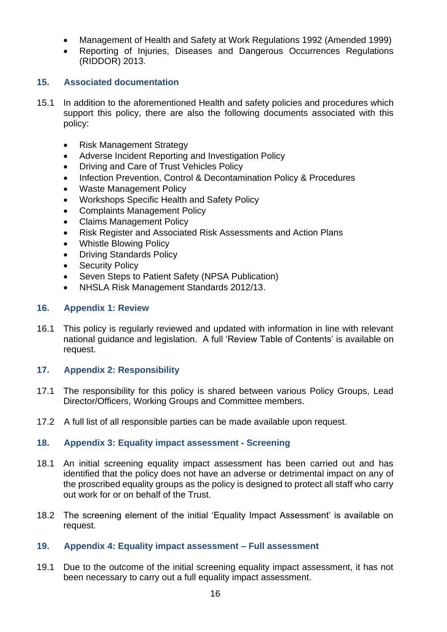- Management of Health and Safety at Work Regulations 1992 (Amended 1999)
- Reporting of Injuries, Diseases and Dangerous Occurrences Regulations (RIDDOR) 2013.

#### <span id="page-15-0"></span>**15. Associated documentation**

- 15.1 In addition to the aforementioned Health and safety policies and procedures which support this policy, there are also the following documents associated with this policy:
	- Risk Management Strategy
	- Adverse Incident Reporting and Investigation Policy
	- Driving and Care of Trust Vehicles Policy
	- Infection Prevention, Control & Decontamination Policy & Procedures
	- Waste Management Policy
	- Workshops Specific Health and Safety Policy
	- Complaints Management Policy
	- Claims Management Policy
	- Risk Register and Associated Risk Assessments and Action Plans
	- Whistle Blowing Policy
	- Driving Standards Policy
	- **Security Policy**
	- Seven Steps to Patient Safety (NPSA Publication)
	- NHSLA Risk Management Standards 2012/13.

#### <span id="page-15-1"></span>**16. Appendix 1: Review**

16.1 This policy is regularly reviewed and updated with information in line with relevant national guidance and legislation. A full 'Review Table of Contents' is available on request.

#### <span id="page-15-2"></span>**17. Appendix 2: Responsibility**

- 17.1 The responsibility for this policy is shared between various Policy Groups, Lead Director/Officers, Working Groups and Committee members.
- 17.2 A full list of all responsible parties can be made available upon request.

#### <span id="page-15-3"></span>**18. Appendix 3: Equality impact assessment - Screening**

- 18.1 An initial screening equality impact assessment has been carried out and has identified that the policy does not have an adverse or detrimental impact on any of the proscribed equality groups as the policy is designed to protect all staff who carry out work for or on behalf of the Trust.
- 18.2 The screening element of the initial 'Equality Impact Assessment' is available on request.

#### <span id="page-15-4"></span>**19. Appendix 4: Equality impact assessment – Full assessment**

19.1 Due to the outcome of the initial screening equality impact assessment, it has not been necessary to carry out a full equality impact assessment.